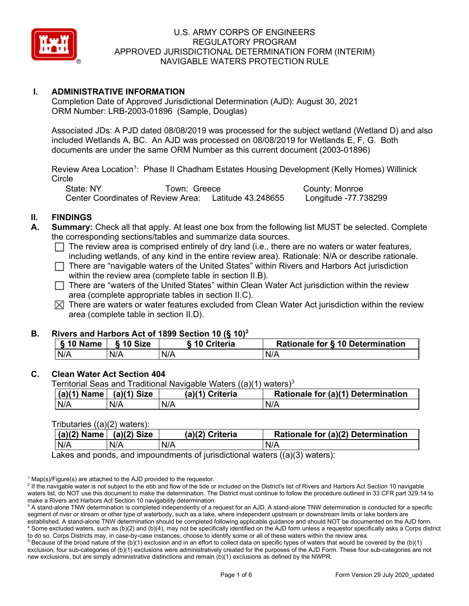

# **I. ADMINISTRATIVE INFORMATION**

Completion Date of Approved Jurisdictional Determination (AJD): August 30, 2021 ORM Number: LRB-2003-01896 (Sample, Douglas)

Associated JDs: A PJD dated 08/08/2019 was processed for the subject wetland (Wetland D) and also included Wetlands A, BC. An AJD was processed on 08/08/2019 for Wetlands E, F, G. Both documents are under the same ORM Number as this current document (2003-01896)

Review Area Location<sup>1</sup>: Phase II Chadham Estates Housing Development (Kelly Homes) Willinick **Circle** 

State: NY Town: Greece County: Monroe Center Coordinates of Review Area: Latitude 43.248655 Longitude -77.738299

# **II. FINDINGS**

- **Summary:** Check all that apply. At least one box from the following list MUST be selected. Complete the corresponding sections/tables and summarize data sources.
	- $\Box$  The review area is comprised entirely of dry land (i.e., there are no waters or water features, including wetlands, of any kind in the entire review area). Rationale: N/A or describe rationale.
	- $\Box$  There are "navigable waters of the United States" within Rivers and Harbors Act jurisdiction within the review area (complete table in section II.B).
	- $\Box$  There are "waters of the United States" within Clean Water Act jurisdiction within the review area (complete appropriate tables in section II.C).
	- $\boxtimes$  There are waters or water features excluded from Clean Water Act jurisdiction within the review area (complete table in section II.D).

#### **B. Rivers and Harbors Act of 1899 Section 10 (§ 10)2**

| § 10 Name | § 10 Size | <b>S</b> 10 Criteria | Rationale for § 10 Determination |  |
|-----------|-----------|----------------------|----------------------------------|--|
| N/A       | N/A       | N/A                  | N/A                              |  |

#### **C. Clean Water Act Section 404**

Territorial Seas and Traditional Navigable Waters  $((a)(1)$  waters)<sup>3</sup>

| $(a)(1)$ Name | $(a)(1)$ Size | (a)(1) Criteria | Rationale for (a)(1) Determination |
|---------------|---------------|-----------------|------------------------------------|
| N/A           | N/A           | N/A             | N/A                                |

#### Tributaries ((a)(2) waters):

| $(a)(2)$ Name | $(a)(2)$ Size | (a)(2) Criteria | Rationale for (a)(2) Determination |
|---------------|---------------|-----------------|------------------------------------|
| N/A           | N/A           | N/A             | N/A                                |

Lakes and ponds, and impoundments of jurisdictional waters ((a)(3) waters):

 $1$  Map(s)/Figure(s) are attached to the AJD provided to the requestor.

<sup>2</sup> If the navigable water is not subject to the ebb and flow of the tide or included on the District's list of Rivers and Harbors Act Section 10 navigable waters list, do NOT use this document to make the determination. The District must continue to follow the procedure outlined in 33 CFR part 329.14 to make a Rivers and Harbors Act Section 10 navigability determination.

<sup>3</sup> A stand-alone TNW determination is completed independently of a request for an AJD. A stand-alone TNW determination is conducted for a specific segment of river or stream or other type of waterbody, such as a lake, where independent upstream or downstream limits or lake borders are established. A stand-alone TNW determination should be completed following applicable guidance and should NOT be documented on the AJD form. <sup>4</sup> Some excluded waters, such as (b)(2) and (b)(4), may not be specifically identified on the AJD form unless a requestor specifically asks a Corps district to do so. Corps Districts may, in case-by-case instances, choose to identify some or all of these waters within the review area.

 $5$  Because of the broad nature of the (b)(1) exclusion and in an effort to collect data on specific types of waters that would be covered by the (b)(1) exclusion, four sub-categories of (b)(1) exclusions were administratively created for the purposes of the AJD Form. These four sub-categories are not new exclusions, but are simply administrative distinctions and remain (b)(1) exclusions as defined by the NWPR.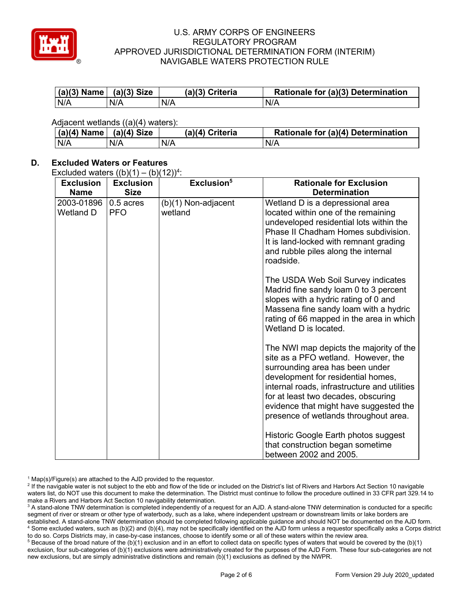

| $(a)(3)$ Name $(a)(3)$ Size |     | (a)(3) Criteria | Rationale for (a)(3) Determination |
|-----------------------------|-----|-----------------|------------------------------------|
| N/A                         | N/A | N/A             | N/A                                |

Adjacent wetlands ((a)(4) waters):

| (a)(4) Name | $(a)(4)$ Size | (a)(4) Criteria | Rationale for (a)(4) Determination |
|-------------|---------------|-----------------|------------------------------------|
| N/A         |               | N/A             | N/A                                |

# **D. Excluded Waters or Features**

Excluded waters  $((b)(1) - (b)(12))^4$ :

| <b>Exclusion</b>        | $\sqrt{2}$<br><b>Exclusion</b> | $\cdot$ – $\prime$ /<br>Exclusion <sup>5</sup> | <b>Rationale for Exclusion</b>                                                                                                                                                                                                                                                                                                    |
|-------------------------|--------------------------------|------------------------------------------------|-----------------------------------------------------------------------------------------------------------------------------------------------------------------------------------------------------------------------------------------------------------------------------------------------------------------------------------|
| <b>Name</b>             | <b>Size</b>                    |                                                | <b>Determination</b>                                                                                                                                                                                                                                                                                                              |
| 2003-01896<br>Wetland D | 0.5 acres<br><b>PFO</b>        | (b)(1) Non-adjacent<br>wetland                 | Wetland D is a depressional area<br>located within one of the remaining<br>undeveloped residential lots within the<br>Phase II Chadham Homes subdivision.<br>It is land-locked with remnant grading<br>and rubble piles along the internal<br>roadside.                                                                           |
|                         |                                |                                                | The USDA Web Soil Survey indicates<br>Madrid fine sandy loam 0 to 3 percent<br>slopes with a hydric rating of 0 and<br>Massena fine sandy loam with a hydric<br>rating of 66 mapped in the area in which<br>Wetland D is located.                                                                                                 |
|                         |                                |                                                | The NWI map depicts the majority of the<br>site as a PFO wetland. However, the<br>surrounding area has been under<br>development for residential homes,<br>internal roads, infrastructure and utilities<br>for at least two decades, obscuring<br>evidence that might have suggested the<br>presence of wetlands throughout area. |
|                         |                                |                                                | Historic Google Earth photos suggest<br>that construction began sometime<br>between 2002 and 2005.                                                                                                                                                                                                                                |

 $1$  Map(s)/Figure(s) are attached to the AJD provided to the requestor.

<sup>2</sup> If the navigable water is not subject to the ebb and flow of the tide or included on the District's list of Rivers and Harbors Act Section 10 navigable waters list, do NOT use this document to make the determination. The District must continue to follow the procedure outlined in 33 CFR part 329.14 to make a Rivers and Harbors Act Section 10 navigability determination.

<sup>3</sup> A stand-alone TNW determination is completed independently of a request for an AJD. A stand-alone TNW determination is conducted for a specific segment of river or stream or other type of waterbody, such as a lake, where independent upstream or downstream limits or lake borders are established. A stand-alone TNW determination should be completed following applicable guidance and should NOT be documented on the AJD form. <sup>4</sup> Some excluded waters, such as (b)(2) and (b)(4), may not be specifically identified on the AJD form unless a requestor specifically asks a Corps district to do so. Corps Districts may, in case-by-case instances, choose to identify some or all of these waters within the review area.

<sup>5</sup> Because of the broad nature of the (b)(1) exclusion and in an effort to collect data on specific types of waters that would be covered by the (b)(1) exclusion, four sub-categories of (b)(1) exclusions were administratively created for the purposes of the AJD Form. These four sub-categories are not new exclusions, but are simply administrative distinctions and remain (b)(1) exclusions as defined by the NWPR.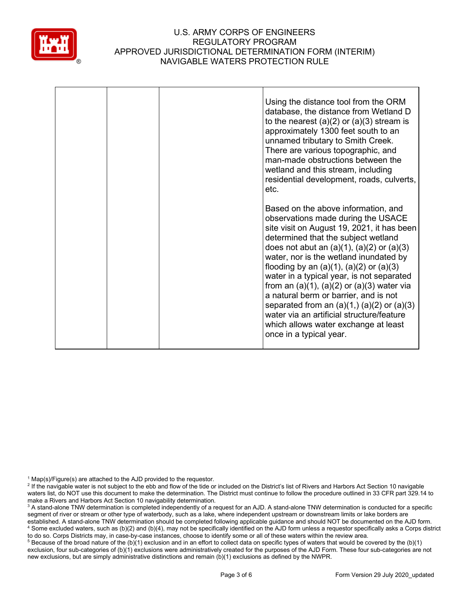

|  | Using the distance tool from the ORM<br>database, the distance from Wetland D<br>to the nearest $(a)(2)$ or $(a)(3)$ stream is<br>approximately 1300 feet south to an<br>unnamed tributary to Smith Creek.<br>There are various topographic, and<br>man-made obstructions between the<br>wetland and this stream, including<br>residential development, roads, culverts,<br>etc.                                                                                                                                                                                                                                             |
|--|------------------------------------------------------------------------------------------------------------------------------------------------------------------------------------------------------------------------------------------------------------------------------------------------------------------------------------------------------------------------------------------------------------------------------------------------------------------------------------------------------------------------------------------------------------------------------------------------------------------------------|
|  | Based on the above information, and<br>observations made during the USACE<br>site visit on August 19, 2021, it has been<br>determined that the subject wetland<br>does not abut an $(a)(1)$ , $(a)(2)$ or $(a)(3)$<br>water, nor is the wetland inundated by<br>flooding by an $(a)(1)$ , $(a)(2)$ or $(a)(3)$<br>water in a typical year, is not separated<br>from an $(a)(1)$ , $(a)(2)$ or $(a)(3)$ water via<br>a natural berm or barrier, and is not<br>separated from an $(a)(1, b)(a)(2)$ or $(a)(3)$<br>water via an artificial structure/feature<br>which allows water exchange at least<br>once in a typical year. |

 $1$  Map(s)/Figure(s) are attached to the AJD provided to the requestor.

<sup>5</sup> Because of the broad nature of the (b)(1) exclusion and in an effort to collect data on specific types of waters that would be covered by the (b)(1) exclusion, four sub-categories of (b)(1) exclusions were administratively created for the purposes of the AJD Form. These four sub-categories are not new exclusions, but are simply administrative distinctions and remain (b)(1) exclusions as defined by the NWPR.

<sup>&</sup>lt;sup>2</sup> If the navigable water is not subject to the ebb and flow of the tide or included on the District's list of Rivers and Harbors Act Section 10 navigable waters list, do NOT use this document to make the determination. The District must continue to follow the procedure outlined in 33 CFR part 329.14 to make a Rivers and Harbors Act Section 10 navigability determination.

<sup>&</sup>lt;sup>3</sup> A stand-alone TNW determination is completed independently of a request for an AJD. A stand-alone TNW determination is conducted for a specific segment of river or stream or other type of waterbody, such as a lake, where independent upstream or downstream limits or lake borders are established. A stand-alone TNW determination should be completed following applicable guidance and should NOT be documented on the AJD form. <sup>4</sup> Some excluded waters, such as (b)(2) and (b)(4), may not be specifically identified on the AJD form unless a requestor specifically asks a Corps district to do so. Corps Districts may, in case-by-case instances, choose to identify some or all of these waters within the review area.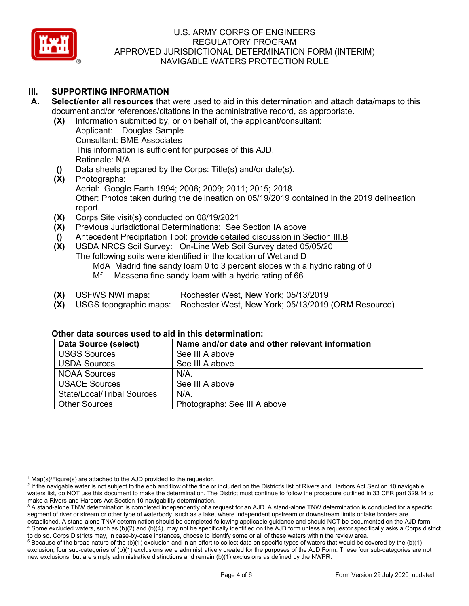

# **III. SUPPORTING INFORMATION**

- **A. Select/enter all resources** that were used to aid in this determination and attach data/maps to this document and/or references/citations in the administrative record, as appropriate.
	- **(X)** Information submitted by, or on behalf of, the applicant/consultant:
		- Applicant: Douglas Sample Consultant: BME Associates This information is sufficient for purposes of this AJD. Rationale: N/A
	- **()** Data sheets prepared by the Corps: Title(s) and/or date(s).
	- Photographs: Aerial: Google Earth 1994; 2006; 2009; 2011; 2015; 2018 Other: Photos taken during the delineation on 05/19/2019 contained in the 2019 delineation report.
	- **(X)** Corps Site visit(s) conducted on 08/19/2021
	- **(X)** Previous Jurisdictional Determinations: See Section IA above
	- **()** Antecedent Precipitation Tool: provide detailed discussion in Section III.B
	- **(X)** USDA NRCS Soil Survey: On-Line Web Soil Survey dated 05/05/20 The following soils were identified in the location of Wetland D MdA Madrid fine sandy loam 0 to 3 percent slopes with a hydric rating of 0 Mf Massena fine sandy loam with a hydric rating of 66
	- **(X)** USFWS NWI maps: Rochester West, New York; 05/13/2019
	- **(X)** USGS topographic maps: Rochester West, New York; 05/13/2019 (ORM Resource)

| Data Source (select)              | Name and/or date and other relevant information |
|-----------------------------------|-------------------------------------------------|
| <b>USGS Sources</b>               | See III A above                                 |
| <b>USDA Sources</b>               | See III A above                                 |
| <b>NOAA Sources</b>               | $N/A$ .                                         |
| <b>USACE Sources</b>              | See III A above                                 |
| <b>State/Local/Tribal Sources</b> | $N/A$ .                                         |
| <b>Other Sources</b>              | Photographs: See III A above                    |

### **Other data sources used to aid in this determination:**

 $1$  Map(s)/Figure(s) are attached to the AJD provided to the requestor.

<sup>&</sup>lt;sup>2</sup> If the navigable water is not subject to the ebb and flow of the tide or included on the District's list of Rivers and Harbors Act Section 10 navigable waters list, do NOT use this document to make the determination. The District must continue to follow the procedure outlined in 33 CFR part 329.14 to make a Rivers and Harbors Act Section 10 navigability determination.

<sup>&</sup>lt;sup>3</sup> A stand-alone TNW determination is completed independently of a request for an AJD. A stand-alone TNW determination is conducted for a specific segment of river or stream or other type of waterbody, such as a lake, where independent upstream or downstream limits or lake borders are established. A stand-alone TNW determination should be completed following applicable guidance and should NOT be documented on the AJD form. <sup>4</sup> Some excluded waters, such as (b)(2) and (b)(4), may not be specifically identified on the AJD form unless a requestor specifically asks a Corps district

to do so. Corps Districts may, in case-by-case instances, choose to identify some or all of these waters within the review area.  $5$  Because of the broad nature of the (b)(1) exclusion and in an effort to collect data on specific types of waters that would be covered by the (b)(1) exclusion, four sub-categories of (b)(1) exclusions were administratively created for the purposes of the AJD Form. These four sub-categories are not new exclusions, but are simply administrative distinctions and remain (b)(1) exclusions as defined by the NWPR.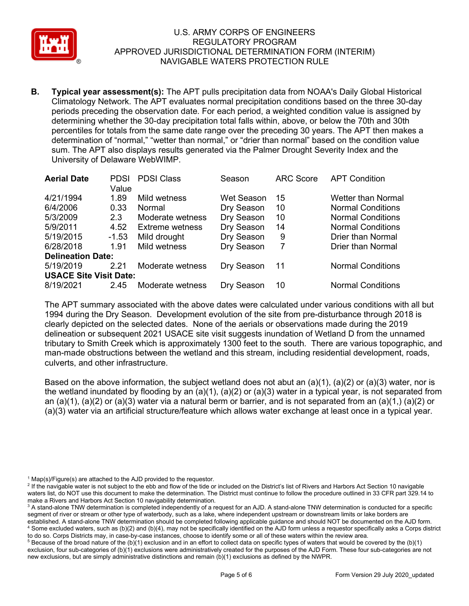

**B. Typical year assessment(s):** The APT pulls precipitation data from NOAA's Daily Global Historical Climatology Network. The APT evaluates normal precipitation conditions based on the three 30-day periods preceding the observation date. For each period, a weighted condition value is assigned by determining whether the 30-day precipitation total falls within, above, or below the 70th and 30th percentiles for totals from the same date range over the preceding 30 years. The APT then makes a determination of "normal," "wetter than normal," or "drier than normal" based on the condition value sum. The APT also displays results generated via the Palmer Drought Severity Index and the University of Delaware WebWIMP.

| <b>Aerial Date</b>            | PDSI    | <b>PDSI Class</b>      | Season     | <b>ARC Score</b> | <b>APT Condition</b>     |
|-------------------------------|---------|------------------------|------------|------------------|--------------------------|
|                               | Value   |                        |            |                  |                          |
| 4/21/1994                     | 1.89    | Mild wetness           | Wet Season | 15               | Wetter than Normal       |
| 6/4/2006                      | 0.33    | Normal                 | Dry Season | 10               | <b>Normal Conditions</b> |
| 5/3/2009                      | 2.3     | Moderate wetness       | Dry Season | 10               | <b>Normal Conditions</b> |
| 5/9/2011                      | 4.52    | <b>Extreme wetness</b> | Dry Season | 14               | <b>Normal Conditions</b> |
| 5/19/2015                     | $-1.53$ | Mild drought           | Dry Season | 9                | <b>Drier than Normal</b> |
| 6/28/2018                     | 1.91    | Mild wetness           | Dry Season | 7                | <b>Drier than Normal</b> |
| <b>Delineation Date:</b>      |         |                        |            |                  |                          |
| 5/19/2019                     | 2.21    | Moderate wetness       | Dry Season | -11              | <b>Normal Conditions</b> |
| <b>USACE Site Visit Date:</b> |         |                        |            |                  |                          |
| 8/19/2021                     | 2.45    | Moderate wetness       | Dry Season | 10               | <b>Normal Conditions</b> |

The APT summary associated with the above dates were calculated under various conditions with all but 1994 during the Dry Season. Development evolution of the site from pre-disturbance through 2018 is clearly depicted on the selected dates. None of the aerials or observations made during the 2019 delineation or subsequent 2021 USACE site visit suggests inundation of Wetland D from the unnamed tributary to Smith Creek which is approximately 1300 feet to the south. There are various topographic, and man-made obstructions between the wetland and this stream, including residential development, roads, culverts, and other infrastructure.

Based on the above information, the subject wetland does not abut an  $(a)(1)$ ,  $(a)(2)$  or  $(a)(3)$  water, nor is the wetland inundated by flooding by an  $(a)(1)$ ,  $(a)(2)$  or  $(a)(3)$  water in a typical year, is not separated from an (a)(1), (a)(2) or (a)(3) water via a natural berm or barrier, and is not separated from an (a)(1,) (a)(2) or (a)(3) water via an artificial structure/feature which allows water exchange at least once in a typical year.

 $1$  Map(s)/Figure(s) are attached to the AJD provided to the requestor.

<sup>&</sup>lt;sup>2</sup> If the navigable water is not subject to the ebb and flow of the tide or included on the District's list of Rivers and Harbors Act Section 10 navigable waters list, do NOT use this document to make the determination. The District must continue to follow the procedure outlined in 33 CFR part 329.14 to make a Rivers and Harbors Act Section 10 navigability determination.

<sup>&</sup>lt;sup>3</sup> A stand-alone TNW determination is completed independently of a request for an AJD. A stand-alone TNW determination is conducted for a specific segment of river or stream or other type of waterbody, such as a lake, where independent upstream or downstream limits or lake borders are established. A stand-alone TNW determination should be completed following applicable guidance and should NOT be documented on the AJD form. <sup>4</sup> Some excluded waters, such as (b)(2) and (b)(4), may not be specifically identified on the AJD form unless a requestor specifically asks a Corps district

to do so. Corps Districts may, in case-by-case instances, choose to identify some or all of these waters within the review area.  $5$  Because of the broad nature of the (b)(1) exclusion and in an effort to collect data on specific types of waters that would be covered by the (b)(1) exclusion, four sub-categories of (b)(1) exclusions were administratively created for the purposes of the AJD Form. These four sub-categories are not new exclusions, but are simply administrative distinctions and remain (b)(1) exclusions as defined by the NWPR.